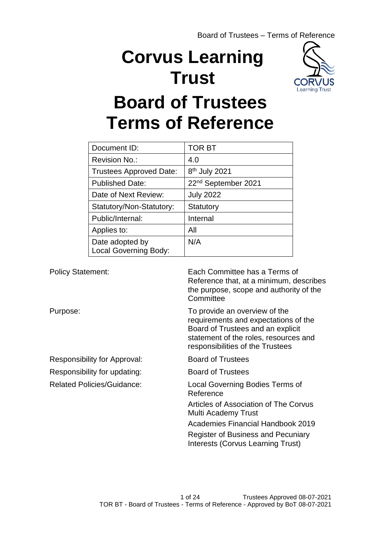# **Corvus Learning Trust**



# **Board of Trustees Terms of Reference**

| Document ID:                                    | TOR BT                          |
|-------------------------------------------------|---------------------------------|
| Revision No.:                                   | 4.0                             |
| <b>Trustees Approved Date:</b>                  | 8 <sup>th</sup> July 2021       |
| <b>Published Date:</b>                          | 22 <sup>nd</sup> September 2021 |
| Date of Next Review:                            | <b>July 2022</b>                |
| Statutory/Non-Statutory:                        | Statutory                       |
| Public/Internal:                                | Internal                        |
| Applies to:                                     | All                             |
| Date adopted by<br><b>Local Governing Body:</b> | N/A                             |

Policy Statement: Each Committee has a Terms of Reference that, at a minimum, describes the purpose, scope and authority of the **Committee** Purpose: To provide an overview of the requirements and expectations of the Board of Trustees and an explicit statement of the roles, resources and responsibilities of the Trustees Responsibility for Approval: Board of Trustees Responsibility for updating: Board of Trustees Related Policies/Guidance: Local Governing Bodies Terms of Reference Articles of Association of The Corvus Multi Academy Trust Academies Financial Handbook 2019 Register of Business and Pecuniary Interests (Corvus Learning Trust)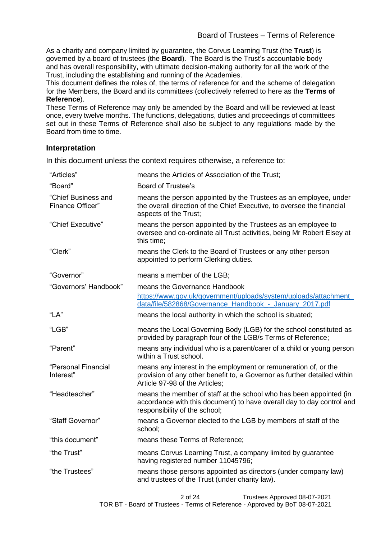As a charity and company limited by guarantee, the Corvus Learning Trust (the **Trust**) is governed by a board of trustees (the **Board**). The Board is the Trust's accountable body and has overall responsibility, with ultimate decision-making authority for all the work of the Trust, including the establishing and running of the Academies.

This document defines the roles of, the terms of reference for and the scheme of delegation for the Members, the Board and its committees (collectively referred to here as the **Terms of Reference**).

These Terms of Reference may only be amended by the Board and will be reviewed at least once, every twelve months. The functions, delegations, duties and proceedings of committees set out in these Terms of Reference shall also be subject to any regulations made by the Board from time to time.

## **Interpretation**

In this document unless the context requires otherwise, a reference to:

| "Articles"                              | means the Articles of Association of the Trust;                                                                                                                               |
|-----------------------------------------|-------------------------------------------------------------------------------------------------------------------------------------------------------------------------------|
| "Board"                                 | <b>Board of Trustee's</b>                                                                                                                                                     |
| "Chief Business and<br>Finance Officer" | means the person appointed by the Trustees as an employee, under<br>the overall direction of the Chief Executive, to oversee the financial<br>aspects of the Trust;           |
| "Chief Executive"                       | means the person appointed by the Trustees as an employee to<br>oversee and co-ordinate all Trust activities, being Mr Robert Elsey at<br>this time;                          |
| "Clerk"                                 | means the Clerk to the Board of Trustees or any other person<br>appointed to perform Clerking duties.                                                                         |
| "Governor"                              | means a member of the LGB;                                                                                                                                                    |
| "Governors' Handbook"                   | means the Governance Handbook                                                                                                                                                 |
|                                         | https://www.gov.uk/government/uploads/system/uploads/attachment_<br>data/file/582868/Governance Handbook - January 2017.pdf                                                   |
| "LA"                                    | means the local authority in which the school is situated;                                                                                                                    |
| "LGB"                                   | means the Local Governing Body (LGB) for the school constituted as<br>provided by paragraph four of the LGB/s Terms of Reference;                                             |
| "Parent"                                | means any individual who is a parent/carer of a child or young person<br>within a Trust school.                                                                               |
| "Personal Financial<br>Interest"        | means any interest in the employment or remuneration of, or the<br>provision of any other benefit to, a Governor as further detailed within<br>Article 97-98 of the Articles: |
| "Headteacher"                           | means the member of staff at the school who has been appointed (in<br>accordance with this document) to have overall day to day control and<br>responsibility of the school;  |
| "Staff Governor"                        | means a Governor elected to the LGB by members of staff of the<br>school;                                                                                                     |
| "this document"                         | means these Terms of Reference;                                                                                                                                               |
| "the Trust"                             | means Corvus Learning Trust, a company limited by guarantee<br>having registered number 11045796;                                                                             |
| "the Trustees"                          | means those persons appointed as directors (under company law)<br>and trustees of the Trust (under charity law).                                                              |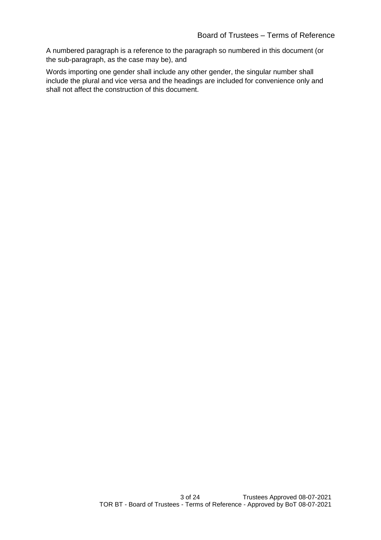A numbered paragraph is a reference to the paragraph so numbered in this document (or the sub-paragraph, as the case may be), and

Words importing one gender shall include any other gender, the singular number shall include the plural and vice versa and the headings are included for convenience only and shall not affect the construction of this document.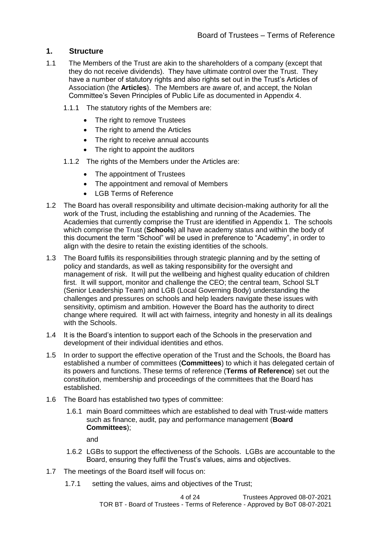## **1. Structure**

- 1.1 The Members of the Trust are akin to the shareholders of a company (except that they do not receive dividends). They have ultimate control over the Trust. They have a number of statutory rights and also rights set out in the Trust's Articles of Association (the **Articles**). The Members are aware of, and accept, the Nolan Committee's Seven Principles of Public Life as documented in Appendix 4.
	- 1.1.1 The statutory rights of the Members are:
		- The right to remove Trustees
		- The right to amend the Articles
		- The right to receive annual accounts
		- The right to appoint the auditors
	- 1.1.2 The rights of the Members under the Articles are:
		- The appointment of Trustees
		- The appointment and removal of Members
		- LGB Terms of Reference
- 1.2 The Board has overall responsibility and ultimate decision-making authority for all the work of the Trust, including the establishing and running of the Academies. The Academies that currently comprise the Trust are identified in Appendix 1. The schools which comprise the Trust (**Schools**) all have academy status and within the body of this document the term "School" will be used in preference to "Academy", in order to align with the desire to retain the existing identities of the schools.
- 1.3 The Board fulfils its responsibilities through strategic planning and by the setting of policy and standards, as well as taking responsibility for the oversight and management of risk. It will put the wellbeing and highest quality education of children first. It will support, monitor and challenge the CEO; the central team, School SLT (Senior Leadership Team) and LGB (Local Governing Body) understanding the challenges and pressures on schools and help leaders navigate these issues with sensitivity, optimism and ambition. However the Board has the authority to direct change where required. It will act with fairness, integrity and honesty in all its dealings with the Schools.
- 1.4 It is the Board's intention to support each of the Schools in the preservation and development of their individual identities and ethos.
- 1.5 In order to support the effective operation of the Trust and the Schools, the Board has established a number of committees (**Committees**) to which it has delegated certain of its powers and functions. These terms of reference (**Terms of Reference**) set out the constitution, membership and proceedings of the committees that the Board has established.
- 1.6 The Board has established two types of committee:
	- 1.6.1 main Board committees which are established to deal with Trust-wide matters such as finance, audit, pay and performance management (**Board Committees**);

and

- 1.6.2 LGBs to support the effectiveness of the Schools. LGBs are accountable to the Board, ensuring they fulfil the Trust's values, aims and objectives.
- 1.7 The meetings of the Board itself will focus on:
	- 1.7.1 setting the values, aims and objectives of the Trust;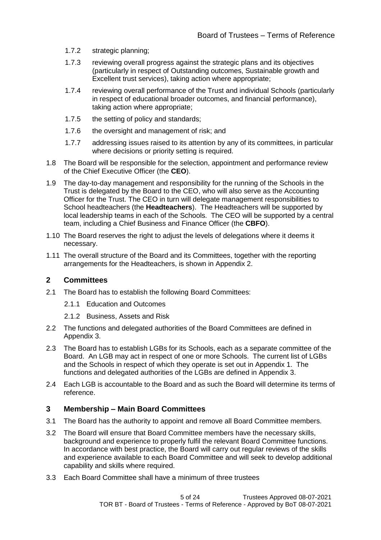- 1.7.2 strategic planning;
- 1.7.3 reviewing overall progress against the strategic plans and its objectives (particularly in respect of Outstanding outcomes, Sustainable growth and Excellent trust services), taking action where appropriate;
- 1.7.4 reviewing overall performance of the Trust and individual Schools (particularly in respect of educational broader outcomes, and financial performance), taking action where appropriate;
- 1.7.5 the setting of policy and standards;
- 1.7.6 the oversight and management of risk; and
- 1.7.7 addressing issues raised to its attention by any of its committees, in particular where decisions or priority setting is required.
- 1.8 The Board will be responsible for the selection, appointment and performance review of the Chief Executive Officer (the **CEO**).
- 1.9 The day-to-day management and responsibility for the running of the Schools in the Trust is delegated by the Board to the CEO, who will also serve as the Accounting Officer for the Trust. The CEO in turn will delegate management responsibilities to School headteachers (the **Headteachers**). The Headteachers will be supported by local leadership teams in each of the Schools. The CEO will be supported by a central team, including a Chief Business and Finance Officer (the **CBFO**).
- 1.10 The Board reserves the right to adjust the levels of delegations where it deems it necessary.
- 1.11 The overall structure of the Board and its Committees, together with the reporting arrangements for the Headteachers, is shown in Appendix 2.

#### **2 Committees**

- 2.1 The Board has to establish the following Board Committees:
	- 2.1.1 Education and Outcomes
	- 2.1.2 Business, Assets and Risk
- 2.2 The functions and delegated authorities of the Board Committees are defined in Appendix 3.
- 2.3 The Board has to establish LGBs for its Schools, each as a separate committee of the Board. An LGB may act in respect of one or more Schools. The current list of LGBs and the Schools in respect of which they operate is set out in Appendix 1. The functions and delegated authorities of the LGBs are defined in Appendix 3.
- 2.4 Each LGB is accountable to the Board and as such the Board will determine its terms of reference.

#### **3 Membership – Main Board Committees**

- 3.1 The Board has the authority to appoint and remove all Board Committee members.
- 3.2 The Board will ensure that Board Committee members have the necessary skills, background and experience to properly fulfil the relevant Board Committee functions. In accordance with best practice, the Board will carry out regular reviews of the skills and experience available to each Board Committee and will seek to develop additional capability and skills where required.
- 3.3 Each Board Committee shall have a minimum of three trustees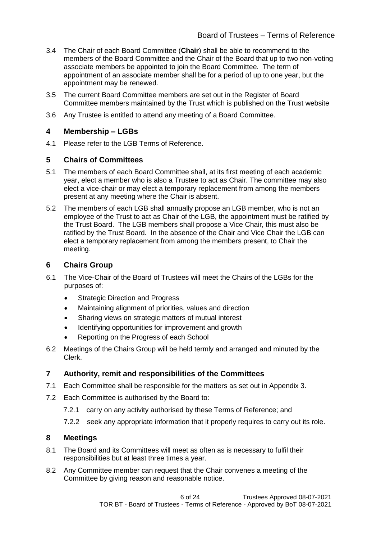- 3.4 The Chair of each Board Committee (**Chair**) shall be able to recommend to the members of the Board Committee and the Chair of the Board that up to two non-voting associate members be appointed to join the Board Committee. The term of appointment of an associate member shall be for a period of up to one year, but the appointment may be renewed.
- 3.5 The current Board Committee members are set out in the Register of Board Committee members maintained by the Trust which is published on the Trust website
- 3.6 Any Trustee is entitled to attend any meeting of a Board Committee.

## **4 Membership – LGBs**

4.1 Please refer to the LGB Terms of Reference.

## **5 Chairs of Committees**

- 5.1 The members of each Board Committee shall, at its first meeting of each academic year, elect a member who is also a Trustee to act as Chair. The committee may also elect a vice-chair or may elect a temporary replacement from among the members present at any meeting where the Chair is absent.
- 5.2 The members of each LGB shall annually propose an LGB member, who is not an employee of the Trust to act as Chair of the LGB, the appointment must be ratified by the Trust Board. The LGB members shall propose a Vice Chair, this must also be ratified by the Trust Board. In the absence of the Chair and Vice Chair the LGB can elect a temporary replacement from among the members present, to Chair the meeting.

## **6 Chairs Group**

- 6.1 The Vice-Chair of the Board of Trustees will meet the Chairs of the LGBs for the purposes of:
	- Strategic Direction and Progress
	- Maintaining alignment of priorities, values and direction
	- Sharing views on strategic matters of mutual interest
	- Identifying opportunities for improvement and growth
	- Reporting on the Progress of each School
- 6.2 Meetings of the Chairs Group will be held termly and arranged and minuted by the Clerk.

## **7 Authority, remit and responsibilities of the Committees**

- 7.1 Each Committee shall be responsible for the matters as set out in Appendix 3.
- 7.2 Each Committee is authorised by the Board to:
	- 7.2.1 carry on any activity authorised by these Terms of Reference; and
	- 7.2.2 seek any appropriate information that it properly requires to carry out its role.

## **8 Meetings**

- 8.1 The Board and its Committees will meet as often as is necessary to fulfil their responsibilities but at least three times a year.
- 8.2 Any Committee member can request that the Chair convenes a meeting of the Committee by giving reason and reasonable notice.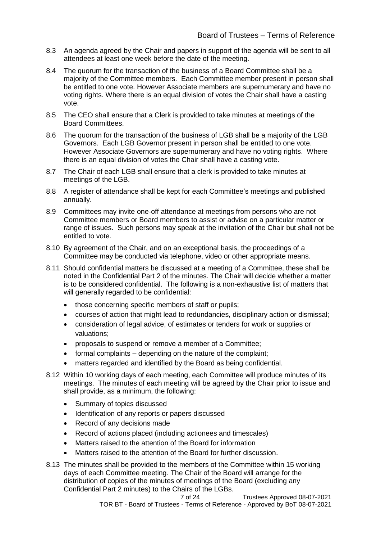- 8.3 An agenda agreed by the Chair and papers in support of the agenda will be sent to all attendees at least one week before the date of the meeting.
- 8.4 The quorum for the transaction of the business of a Board Committee shall be a majority of the Committee members. Each Committee member present in person shall be entitled to one vote. However Associate members are supernumerary and have no voting rights. Where there is an equal division of votes the Chair shall have a casting vote.
- 8.5 The CEO shall ensure that a Clerk is provided to take minutes at meetings of the Board Committees.
- 8.6 The quorum for the transaction of the business of LGB shall be a majority of the LGB Governors. Each LGB Governor present in person shall be entitled to one vote. However Associate Governors are supernumerary and have no voting rights. Where there is an equal division of votes the Chair shall have a casting vote.
- 8.7 The Chair of each LGB shall ensure that a clerk is provided to take minutes at meetings of the LGB.
- 8.8 A register of attendance shall be kept for each Committee's meetings and published annually.
- 8.9 Committees may invite one-off attendance at meetings from persons who are not Committee members or Board members to assist or advise on a particular matter or range of issues. Such persons may speak at the invitation of the Chair but shall not be entitled to vote.
- 8.10 By agreement of the Chair, and on an exceptional basis, the proceedings of a Committee may be conducted via telephone, video or other appropriate means.
- 8.11 Should confidential matters be discussed at a meeting of a Committee, these shall be noted in the Confidential Part 2 of the minutes. The Chair will decide whether a matter is to be considered confidential. The following is a non-exhaustive list of matters that will generally regarded to be confidential:
	- those concerning specific members of staff or pupils;
	- courses of action that might lead to redundancies, disciplinary action or dismissal;
	- consideration of legal advice, of estimates or tenders for work or supplies or valuations;
	- proposals to suspend or remove a member of a Committee;
	- formal complaints depending on the nature of the complaint;
	- matters regarded and identified by the Board as being confidential.
- 8.12 Within 10 working days of each meeting, each Committee will produce minutes of its meetings. The minutes of each meeting will be agreed by the Chair prior to issue and shall provide, as a minimum, the following:
	- Summary of topics discussed
	- Identification of any reports or papers discussed
	- Record of any decisions made
	- Record of actions placed (including actionees and timescales)
	- Matters raised to the attention of the Board for information
	- Matters raised to the attention of the Board for further discussion.
- 8.13 The minutes shall be provided to the members of the Committee within 15 working days of each Committee meeting. The Chair of the Board will arrange for the distribution of copies of the minutes of meetings of the Board (excluding any Confidential Part 2 minutes) to the Chairs of the LGBs.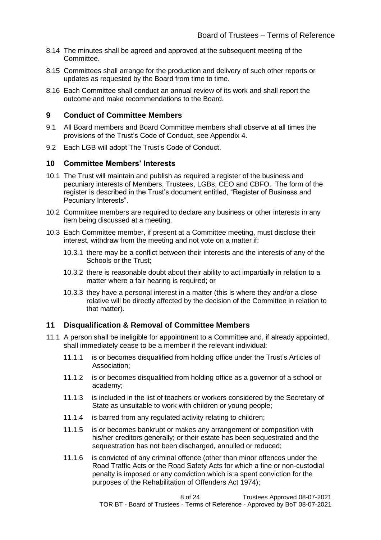- 8.14 The minutes shall be agreed and approved at the subsequent meeting of the Committee.
- 8.15 Committees shall arrange for the production and delivery of such other reports or updates as requested by the Board from time to time.
- 8.16 Each Committee shall conduct an annual review of its work and shall report the outcome and make recommendations to the Board.

#### **9 Conduct of Committee Members**

- 9.1 All Board members and Board Committee members shall observe at all times the provisions of the Trust's Code of Conduct, see Appendix 4.
- 9.2 Each LGB will adopt The Trust's Code of Conduct.

#### **10 Committee Members' Interests**

- 10.1 The Trust will maintain and publish as required a register of the business and pecuniary interests of Members, Trustees, LGBs, CEO and CBFO. The form of the register is described in the Trust's document entitled, "Register of Business and Pecuniary Interests".
- 10.2 Committee members are required to declare any business or other interests in any item being discussed at a meeting.
- 10.3 Each Committee member, if present at a Committee meeting, must disclose their interest, withdraw from the meeting and not vote on a matter if:
	- 10.3.1 there may be a conflict between their interests and the interests of any of the Schools or the Trust;
	- 10.3.2 there is reasonable doubt about their ability to act impartially in relation to a matter where a fair hearing is required; or
	- 10.3.3 they have a personal interest in a matter (this is where they and/or a close relative will be directly affected by the decision of the Committee in relation to that matter).

#### **11 Disqualification & Removal of Committee Members**

- 11.1 A person shall be ineligible for appointment to a Committee and, if already appointed, shall immediately cease to be a member if the relevant individual:
	- 11.1.1 is or becomes disqualified from holding office under the Trust's Articles of Association;
	- 11.1.2 is or becomes disqualified from holding office as a governor of a school or academy;
	- 11.1.3 is included in the list of teachers or workers considered by the Secretary of State as unsuitable to work with children or young people;
	- 11.1.4 is barred from any regulated activity relating to children;
	- 11.1.5 is or becomes bankrupt or makes any arrangement or composition with his/her creditors generally; or their estate has been sequestrated and the sequestration has not been discharged, annulled or reduced;
	- 11.1.6 is convicted of any criminal offence (other than minor offences under the Road Traffic Acts or the Road Safety Acts for which a fine or non-custodial penalty is imposed or any conviction which is a spent conviction for the purposes of the Rehabilitation of Offenders Act 1974);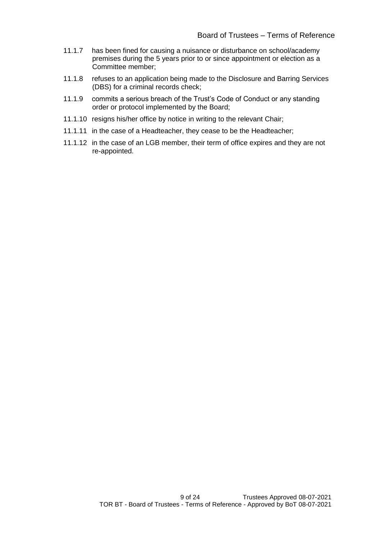- 11.1.7 has been fined for causing a nuisance or disturbance on school/academy premises during the 5 years prior to or since appointment or election as a Committee member;
- 11.1.8 refuses to an application being made to the Disclosure and Barring Services (DBS) for a criminal records check;
- 11.1.9 commits a serious breach of the Trust's Code of Conduct or any standing order or protocol implemented by the Board;
- 11.1.10 resigns his/her office by notice in writing to the relevant Chair;
- 11.1.11 in the case of a Headteacher, they cease to be the Headteacher;
- 11.1.12 in the case of an LGB member, their term of office expires and they are not re-appointed.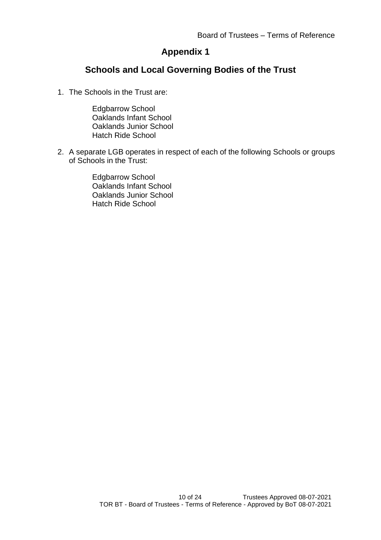## **Appendix 1**

## **Schools and Local Governing Bodies of the Trust**

1. The Schools in the Trust are:

Edgbarrow School Oaklands Infant School Oaklands Junior School Hatch Ride School

2. A separate LGB operates in respect of each of the following Schools or groups of Schools in the Trust:

> Edgbarrow School Oaklands Infant School Oaklands Junior School Hatch Ride School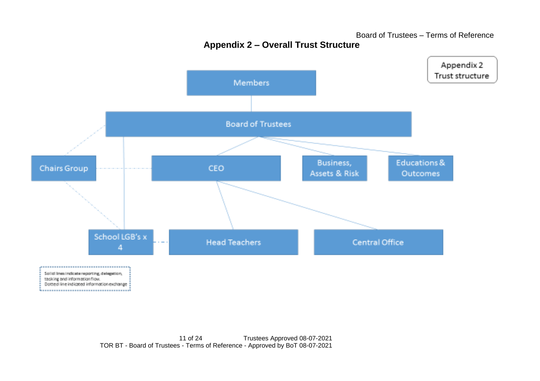Appendix 2 Trust structure Members **Board of Trustees** Educations & Business, Chairs Group CEO Assets & Risk Outcomes School LGB's x **Head Teachers** Central Office 4  $\label{eq:conformal} \mathcal{L}^{(1)}(x) = \mathcal{L}^{(1)}(x) = \mathcal{L}^{(1)}(x) = \mathcal{L}^{(1)}(x) = \mathcal{L}^{(1)}(x) = \mathcal{L}^{(1)}(x) = \mathcal{L}^{(1)}(x) = \mathcal{L}^{(1)}(x) = \mathcal{L}^{(1)}(x) = \mathcal{L}^{(1)}(x) = \mathcal{L}^{(1)}(x) = \mathcal{L}^{(1)}(x) = \mathcal{L}^{(1)}(x) = \mathcal{L}^{(1)}(x) = \mathcal{L}^{(1)}(x) = \$ Solid lines indicate reporting, delegation, tasking and information flow. Domed line indicated information exchange 

**Appendix 2 – Overall Trust Structure**

Board of Trustees – Terms of Reference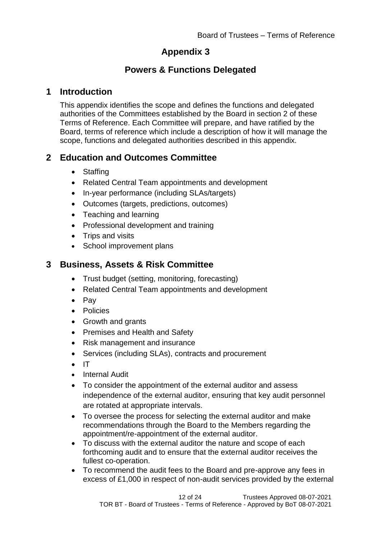## **Appendix 3**

## **Powers & Functions Delegated**

## **1 Introduction**

This appendix identifies the scope and defines the functions and delegated authorities of the Committees established by the Board in section 2 of these Terms of Reference. Each Committee will prepare, and have ratified by the Board, terms of reference which include a description of how it will manage the scope, functions and delegated authorities described in this appendix.

## **2 Education and Outcomes Committee**

- Staffing
- Related Central Team appointments and development
- In-year performance (including SLAs/targets)
- Outcomes (targets, predictions, outcomes)
- Teaching and learning
- Professional development and training
- Trips and visits
- School improvement plans

## **3 Business, Assets & Risk Committee**

- Trust budget (setting, monitoring, forecasting)
- Related Central Team appointments and development
- Pay
- Policies
- Growth and grants
- Premises and Health and Safety
- Risk management and insurance
- Services (including SLAs), contracts and procurement
- IT
- Internal Audit
- To consider the appointment of the external auditor and assess independence of the external auditor, ensuring that key audit personnel are rotated at appropriate intervals.
- To oversee the process for selecting the external auditor and make recommendations through the Board to the Members regarding the appointment/re-appointment of the external auditor.
- To discuss with the external auditor the nature and scope of each forthcoming audit and to ensure that the external auditor receives the fullest co-operation.
- To recommend the audit fees to the Board and pre-approve any fees in excess of £1,000 in respect of non-audit services provided by the external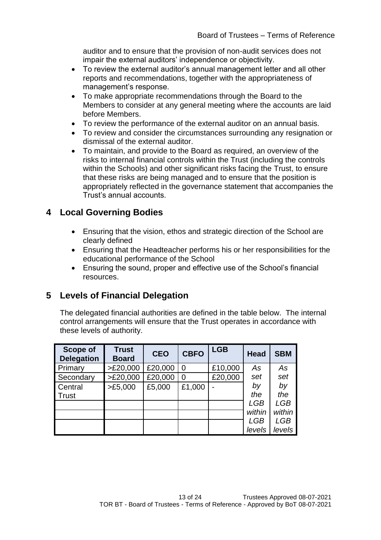auditor and to ensure that the provision of non-audit services does not impair the external auditors' independence or objectivity.

- To review the external auditor's annual management letter and all other reports and recommendations, together with the appropriateness of management's response.
- To make appropriate recommendations through the Board to the Members to consider at any general meeting where the accounts are laid before Members.
- To review the performance of the external auditor on an annual basis.
- To review and consider the circumstances surrounding any resignation or dismissal of the external auditor.
- To maintain, and provide to the Board as required, an overview of the risks to internal financial controls within the Trust (including the controls within the Schools) and other significant risks facing the Trust, to ensure that these risks are being managed and to ensure that the position is appropriately reflected in the governance statement that accompanies the Trust's annual accounts.

## **4 Local Governing Bodies**

- Ensuring that the vision, ethos and strategic direction of the School are clearly defined
- Ensuring that the Headteacher performs his or her responsibilities for the educational performance of the School
- Ensuring the sound, proper and effective use of the School's financial resources.

## **5 Levels of Financial Delegation**

The delegated financial authorities are defined in the table below. The internal control arrangements will ensure that the Trust operates in accordance with these levels of authority.

| <b>Scope of</b><br><b>Delegation</b> | <b>Trust</b><br><b>Board</b> | <b>CEO</b> | <b>CBFO</b>    | <b>LGB</b> | <b>Head</b> | <b>SBM</b> |
|--------------------------------------|------------------------------|------------|----------------|------------|-------------|------------|
| Primary                              | >E20,000                     | £20,000    | $\overline{0}$ | £10,000    | As          | As         |
| Secondary                            | >E20,000                     | £20,000    | $\overline{0}$ | £20,000    | set         | set        |
| Central                              | >E5,000                      | £5,000     | £1,000         |            | by          | by         |
| Trust                                |                              |            |                |            | the         | the        |
|                                      |                              |            |                |            | <b>LGB</b>  | LGB        |
|                                      |                              |            |                |            | within      | within     |
|                                      |                              |            |                |            | <b>LGB</b>  | <b>LGB</b> |
|                                      |                              |            |                |            | levels      | levels     |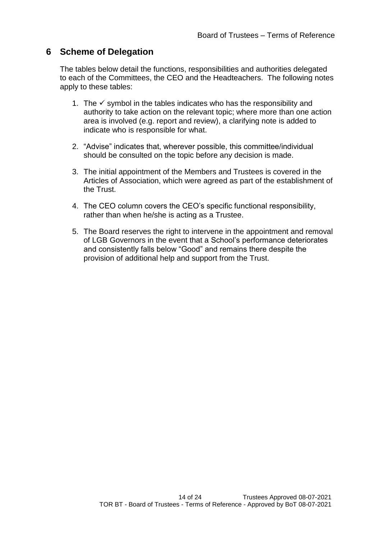## **6 Scheme of Delegation**

The tables below detail the functions, responsibilities and authorities delegated to each of the Committees, the CEO and the Headteachers. The following notes apply to these tables:

- 1. The  $\checkmark$  symbol in the tables indicates who has the responsibility and authority to take action on the relevant topic; where more than one action area is involved (e.g. report and review), a clarifying note is added to indicate who is responsible for what.
- 2. "Advise" indicates that, wherever possible, this committee/individual should be consulted on the topic before any decision is made.
- 3. The initial appointment of the Members and Trustees is covered in the Articles of Association, which were agreed as part of the establishment of the Trust.
- 4. The CEO column covers the CEO's specific functional responsibility, rather than when he/she is acting as a Trustee.
- 5. The Board reserves the right to intervene in the appointment and removal of LGB Governors in the event that a School's performance deteriorates and consistently falls below "Good" and remains there despite the provision of additional help and support from the Trust.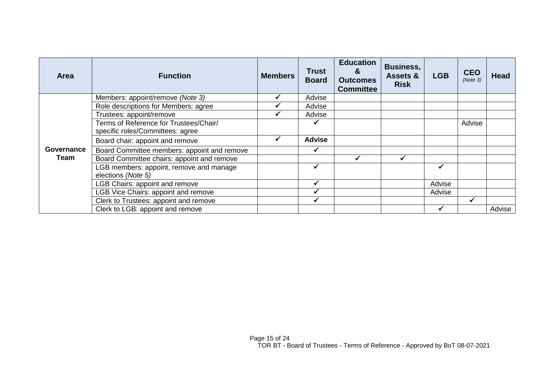| <b>Area</b> | <b>Function</b>                                                            | <b>Members</b> | <b>Trust</b><br><b>Board</b> | <b>Education</b><br>&<br><b>Outcomes</b><br><b>Committee</b> | <b>Business,</b><br><b>Assets &amp;</b><br><b>Risk</b> | <b>LGB</b> | <b>CEO</b><br>(Note 3) | <b>Head</b> |
|-------------|----------------------------------------------------------------------------|----------------|------------------------------|--------------------------------------------------------------|--------------------------------------------------------|------------|------------------------|-------------|
|             | Members: appoint/remove (Note 3)                                           |                | Advise                       |                                                              |                                                        |            |                        |             |
|             | Role descriptions for Members: agree                                       |                | Advise                       |                                                              |                                                        |            |                        |             |
|             | Trustees: appoint/remove                                                   |                | Advise                       |                                                              |                                                        |            |                        |             |
|             | Terms of Reference for Trustees/Chair/<br>specific roles/Committees: agree |                |                              |                                                              |                                                        |            | Advise                 |             |
|             | Board chair: appoint and remove                                            |                | <b>Advise</b>                |                                                              |                                                        |            |                        |             |
| Governance  | Board Committee members: appoint and remove                                |                |                              |                                                              |                                                        |            |                        |             |
| Team        | Board Committee chairs: appoint and remove                                 |                |                              |                                                              |                                                        |            |                        |             |
|             | LGB members: appoint, remove and manage<br>elections (Note 5)              |                |                              |                                                              |                                                        |            |                        |             |
|             | <b>LGB Chairs: appoint and remove</b>                                      |                | $\checkmark$                 |                                                              |                                                        | Advise     |                        |             |
|             | <b>LGB Vice Chairs: appoint and remove</b>                                 |                |                              |                                                              |                                                        | Advise     |                        |             |
|             | Clerk to Trustees: appoint and remove                                      |                |                              |                                                              |                                                        |            |                        |             |
|             | Clerk to LGB: appoint and remove                                           |                |                              |                                                              |                                                        |            |                        | Advise      |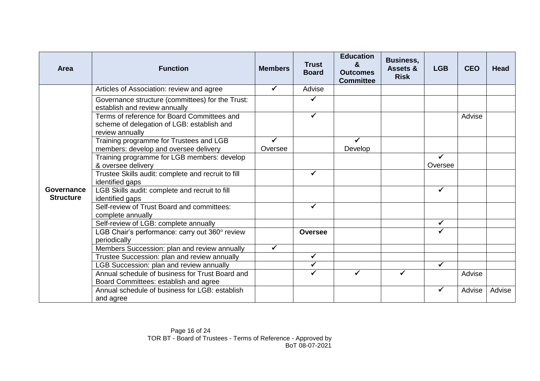| <b>Area</b>                    | <b>Function</b>                                                                                              | <b>Members</b> | <b>Trust</b><br><b>Board</b> | <b>Education</b><br>&<br><b>Outcomes</b><br><b>Committee</b> | <b>Business,</b><br>Assets &<br><b>Risk</b> | <b>LGB</b> | <b>CEO</b> | <b>Head</b> |
|--------------------------------|--------------------------------------------------------------------------------------------------------------|----------------|------------------------------|--------------------------------------------------------------|---------------------------------------------|------------|------------|-------------|
|                                | Articles of Association: review and agree                                                                    |                | Advise                       |                                                              |                                             |            |            |             |
|                                | Governance structure (committees) for the Trust:<br>establish and review annually                            |                |                              |                                                              |                                             |            |            |             |
|                                | Terms of reference for Board Committees and<br>scheme of delegation of LGB: establish and<br>review annually |                |                              |                                                              |                                             |            | Advise     |             |
|                                | Training programme for Trustees and LGB<br>members: develop and oversee delivery                             | Oversee        |                              | $\checkmark$<br>Develop                                      |                                             |            |            |             |
|                                | Training programme for LGB members: develop<br>& oversee delivery                                            |                |                              |                                                              |                                             | Oversee    |            |             |
|                                | Trustee Skills audit: complete and recruit to fill<br>identified gaps                                        |                | ✓                            |                                                              |                                             |            |            |             |
| Governance<br><b>Structure</b> | LGB Skills audit: complete and recruit to fill<br>identified gaps                                            |                |                              |                                                              |                                             |            |            |             |
|                                | Self-review of Trust Board and committees:<br>complete annually                                              |                |                              |                                                              |                                             |            |            |             |
|                                | Self-review of LGB: complete annually                                                                        |                |                              |                                                              |                                             | ✓          |            |             |
|                                | LGB Chair's performance: carry out 360° review<br>periodically                                               |                | <b>Oversee</b>               |                                                              |                                             | ✓          |            |             |
|                                | Members Succession: plan and review annually                                                                 | ✓              |                              |                                                              |                                             |            |            |             |
|                                | Trustee Succession: plan and review annually                                                                 |                | ✓                            |                                                              |                                             |            |            |             |
|                                | LGB Succession: plan and review annually                                                                     |                | ✓                            |                                                              |                                             |            |            |             |
|                                | Annual schedule of business for Trust Board and<br>Board Committees: establish and agree                     |                |                              |                                                              |                                             |            | Advise     |             |
|                                | Annual schedule of business for LGB; establish<br>and agree                                                  |                |                              |                                                              |                                             |            | Advise     | Advise      |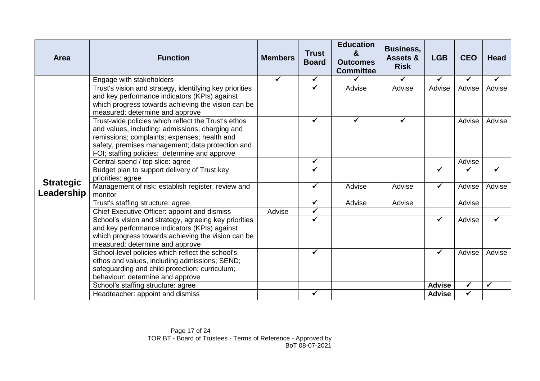| Area                           | <b>Function</b>                                                                                                                                                                                                                                             | <b>Members</b> | <b>Trust</b><br><b>Board</b> | <b>Education</b><br>&<br><b>Outcomes</b><br><b>Committee</b> | <b>Business,</b><br>Assets &<br><b>Risk</b> | <b>LGB</b>    | <b>CEO</b> | <b>Head</b>  |
|--------------------------------|-------------------------------------------------------------------------------------------------------------------------------------------------------------------------------------------------------------------------------------------------------------|----------------|------------------------------|--------------------------------------------------------------|---------------------------------------------|---------------|------------|--------------|
|                                | Engage with stakeholders                                                                                                                                                                                                                                    | $\checkmark$   | $\checkmark$                 |                                                              | ✓                                           | ✓             | ✔          | ✔            |
|                                | Trust's vision and strategy, identifying key priorities<br>and key performance indicators (KPIs) against<br>which progress towards achieving the vision can be<br>measured: determine and approve                                                           |                | $\checkmark$                 | Advise                                                       | Advise                                      | Advise        | Advise     | Advise       |
|                                | Trust-wide policies which reflect the Trust's ethos<br>and values, including: admissions; charging and<br>remissions; complaints; expenses; health and<br>safety, premises management; data protection and<br>FOI; staffing policies: determine and approve |                | ✓                            |                                                              | ✓                                           |               | Advise     | Advise       |
|                                | Central spend / top slice: agree                                                                                                                                                                                                                            |                | $\checkmark$                 |                                                              |                                             |               | Advise     |              |
|                                | Budget plan to support delivery of Trust key<br>priorities: agree                                                                                                                                                                                           |                | ✓                            |                                                              |                                             |               |            |              |
| <b>Strategic</b><br>Leadership | Management of risk: establish register, review and<br>monitor                                                                                                                                                                                               |                | $\checkmark$                 | Advise                                                       | Advise                                      | $\checkmark$  | Advise     | Advise       |
|                                | Trust's staffing structure: agree                                                                                                                                                                                                                           |                | $\checkmark$                 | Advise                                                       | Advise                                      |               | Advise     |              |
|                                | Chief Executive Officer: appoint and dismiss                                                                                                                                                                                                                | Advise         | $\checkmark$                 |                                                              |                                             |               |            |              |
|                                | School's vision and strategy, agreeing key priorities<br>and key performance indicators (KPIs) against<br>which progress towards achieving the vision can be<br>measured: determine and approve                                                             |                | $\checkmark$                 |                                                              |                                             | ✓             | Advise     | ✓            |
|                                | School-level policies which reflect the school's<br>ethos and values, including admissions; SEND;<br>safeguarding and child protection; curriculum;<br>behaviour: determine and approve                                                                     |                | $\checkmark$                 |                                                              |                                             | ✔             | Advise     | Advise       |
|                                | School's staffing structure: agree                                                                                                                                                                                                                          |                |                              |                                                              |                                             | <b>Advise</b> | ✓          | $\checkmark$ |
|                                | Headteacher: appoint and dismiss                                                                                                                                                                                                                            |                | $\checkmark$                 |                                                              |                                             | <b>Advise</b> | ✓          |              |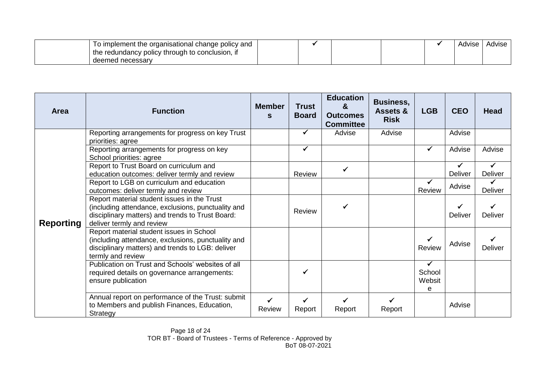| To implement the organisational change policy and |  |  | Advise | Advise |
|---------------------------------------------------|--|--|--------|--------|
| the redundancy policy through to conclusion, in   |  |  |        |        |
| deemed necessarv                                  |  |  |        |        |

| <b>Area</b>      | <b>Function</b>                                                                                                                                                                    | <b>Member</b><br>S     | <b>Trust</b><br><b>Board</b> | <b>Education</b><br>$\mathbf{z}$<br><b>Outcomes</b><br><b>Committee</b> | <b>Business,</b><br><b>Assets &amp;</b><br><b>Risk</b> | <b>LGB</b>                            | <b>CEO</b>     | <b>Head</b>    |
|------------------|------------------------------------------------------------------------------------------------------------------------------------------------------------------------------------|------------------------|------------------------------|-------------------------------------------------------------------------|--------------------------------------------------------|---------------------------------------|----------------|----------------|
| <b>Reporting</b> | Reporting arrangements for progress on key Trust<br>priorities: agree                                                                                                              |                        | ✔                            | Advise                                                                  | Advise                                                 |                                       | Advise         |                |
|                  | Reporting arrangements for progress on key<br>School priorities: agree                                                                                                             |                        | ✓                            |                                                                         |                                                        | ✓                                     | Advise         | Advise         |
|                  | Report to Trust Board on curriculum and<br>education outcomes: deliver termly and review                                                                                           |                        | Review                       | ✓                                                                       |                                                        |                                       | Deliver        | Deliver        |
|                  | Report to LGB on curriculum and education<br>outcomes: deliver termly and review                                                                                                   |                        |                              |                                                                         |                                                        | ✓<br>Review                           | Advise         | <b>Deliver</b> |
|                  | Report material student issues in the Trust<br>(including attendance, exclusions, punctuality and<br>disciplinary matters) and trends to Trust Board:<br>deliver termly and review |                        | Review                       |                                                                         |                                                        |                                       | <b>Deliver</b> | <b>Deliver</b> |
|                  | Report material student issues in School<br>(including attendance, exclusions, punctuality and<br>disciplinary matters) and trends to LGB: deliver<br>termly and review            |                        |                              |                                                                         |                                                        | Review                                | Advise         | <b>Deliver</b> |
|                  | Publication on Trust and Schools' websites of all<br>required details on governance arrangements:<br>ensure publication                                                            |                        |                              |                                                                         |                                                        | $\checkmark$<br>School<br>Websit<br>e |                |                |
|                  | Annual report on performance of the Trust: submit<br>to Members and publish Finances, Education,<br>Strategy                                                                       | $\checkmark$<br>Review | ✓<br>Report                  | ✓<br>Report                                                             | Report                                                 |                                       | Advise         |                |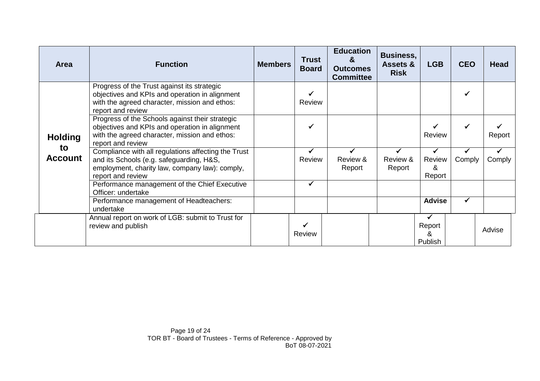| Area                                   | <b>Function</b>                                                                                                                                                         | <b>Members</b> | <b>Trust</b><br><b>Board</b> | <b>Education</b><br>x.<br><b>Outcomes</b><br><b>Committee</b> | <b>Business,</b><br>Assets &<br><b>Risk</b> | <b>LGB</b>                             | <b>CEO</b> | <b>Head</b> |
|----------------------------------------|-------------------------------------------------------------------------------------------------------------------------------------------------------------------------|----------------|------------------------------|---------------------------------------------------------------|---------------------------------------------|----------------------------------------|------------|-------------|
|                                        | Progress of the Trust against its strategic<br>objectives and KPIs and operation in alignment<br>with the agreed character, mission and ethos:<br>report and review     |                | Review                       |                                                               |                                             |                                        |            |             |
| <b>Holding</b><br>to<br><b>Account</b> | Progress of the Schools against their strategic<br>objectives and KPIs and operation in alignment<br>with the agreed character, mission and ethos:<br>report and review |                | ✔                            |                                                               |                                             | Review                                 | ✓          | Report      |
|                                        | Compliance with all regulations affecting the Trust<br>and its Schools (e.g. safeguarding, H&S,<br>employment, charity law, company law): comply,<br>report and review  |                | Review                       | Review &<br>Report                                            | Review &<br>Report                          | Review<br>&<br>Report                  | Comply     | Comply      |
|                                        | Performance management of the Chief Executive<br>Officer: undertake                                                                                                     |                |                              |                                                               |                                             |                                        |            |             |
|                                        | Performance management of Headteachers:<br>undertake                                                                                                                    |                |                              |                                                               |                                             | <b>Advise</b>                          | ✓          |             |
|                                        | Annual report on work of LGB: submit to Trust for<br>review and publish                                                                                                 |                | Review                       |                                                               |                                             | $\checkmark$<br>Report<br>&<br>Publish |            | Advise      |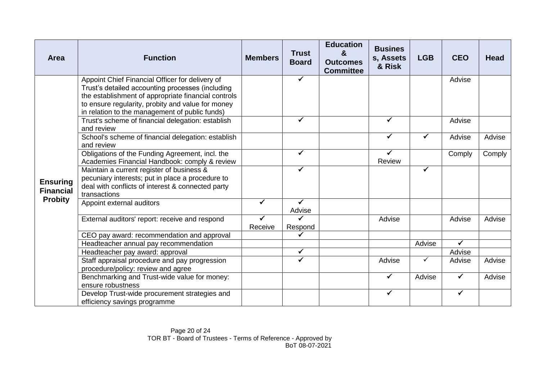| <b>Area</b>                         | <b>Function</b>                                                                                                                                                                                                                                                   | <b>Members</b> | <b>Trust</b><br><b>Board</b> | <b>Education</b><br>&<br><b>Outcomes</b><br><b>Committee</b> | <b>Busines</b><br>s, Assets<br>& Risk | <b>LGB</b> | <b>CEO</b>   | <b>Head</b> |
|-------------------------------------|-------------------------------------------------------------------------------------------------------------------------------------------------------------------------------------------------------------------------------------------------------------------|----------------|------------------------------|--------------------------------------------------------------|---------------------------------------|------------|--------------|-------------|
| <b>Ensuring</b><br><b>Financial</b> | Appoint Chief Financial Officer for delivery of<br>Trust's detailed accounting processes (including<br>the establishment of appropriate financial controls<br>to ensure regularity, probity and value for money<br>in relation to the management of public funds) |                | $\checkmark$                 |                                                              |                                       |            | Advise       |             |
|                                     | Trust's scheme of financial delegation: establish<br>and review                                                                                                                                                                                                   |                | $\checkmark$                 |                                                              | ✓                                     |            | Advise       |             |
|                                     | School's scheme of financial delegation: establish<br>and review                                                                                                                                                                                                  |                |                              |                                                              | ✓                                     | ✔          | Advise       | Advise      |
|                                     | Obligations of the Funding Agreement, incl. the<br>Academies Financial Handbook: comply & review                                                                                                                                                                  |                | $\checkmark$                 |                                                              | ✓<br>Review                           |            | Comply       | Comply      |
|                                     | Maintain a current register of business &<br>pecuniary interests; put in place a procedure to<br>deal with conflicts of interest & connected party<br>transactions                                                                                                |                | $\checkmark$                 |                                                              |                                       | ✓          |              |             |
| <b>Probity</b>                      | Appoint external auditors                                                                                                                                                                                                                                         | ✓              | $\checkmark$<br>Advise       |                                                              |                                       |            |              |             |
|                                     | External auditors' report: receive and respond                                                                                                                                                                                                                    | Receive        | Respond                      |                                                              | Advise                                |            | Advise       | Advise      |
|                                     | CEO pay award: recommendation and approval                                                                                                                                                                                                                        |                |                              |                                                              |                                       |            |              |             |
|                                     | Headteacher annual pay recommendation                                                                                                                                                                                                                             |                |                              |                                                              |                                       | Advise     | $\checkmark$ |             |
|                                     | Headteacher pay award: approval                                                                                                                                                                                                                                   |                | $\checkmark$                 |                                                              |                                       |            | Advise       |             |
|                                     | Staff appraisal procedure and pay progression<br>procedure/policy: review and agree                                                                                                                                                                               |                | $\checkmark$                 |                                                              | Advise                                | ✓          | Advise       | Advise      |
|                                     | Benchmarking and Trust-wide value for money:<br>ensure robustness                                                                                                                                                                                                 |                |                              |                                                              | ✓                                     | Advise     | $\checkmark$ | Advise      |
|                                     | Develop Trust-wide procurement strategies and<br>efficiency savings programme                                                                                                                                                                                     |                |                              |                                                              | ✔                                     |            | ✔            |             |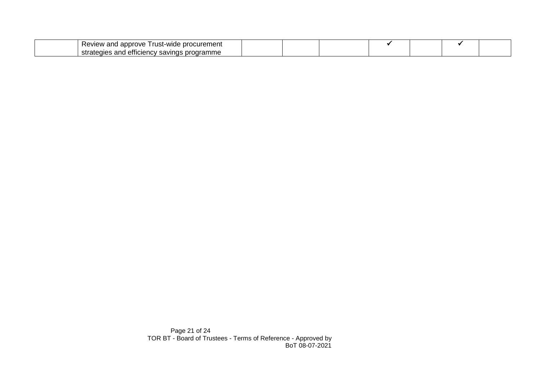| curement<br>l approve<br>.ust-wide<br>Review<br>and                                           |  |  |  |  |
|-----------------------------------------------------------------------------------------------|--|--|--|--|
| .<br>$\sim$ $\sim$ $\sim$<br>$\sum$<br>эп<br>uenn<br>oran<br>шве<br>--<br>ישו<br>$\mathbf{1}$ |  |  |  |  |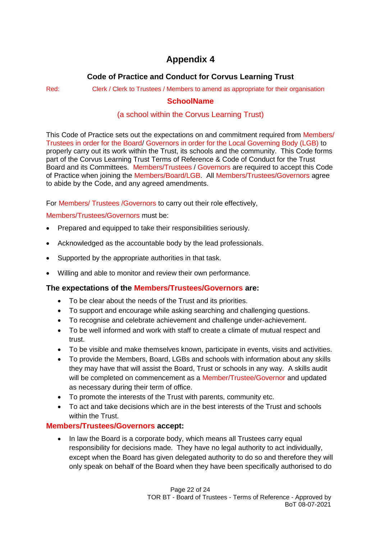# **Appendix 4**

## **Code of Practice and Conduct for Corvus Learning Trust**

#### Red: Clerk / Clerk to Trustees / Members to amend as appropriate for their organisation

## **SchoolName**

## (a school within the Corvus Learning Trust)

This Code of Practice sets out the expectations on and commitment required from Members/ Trustees in order for the Board/ Governors in order for the Local Governing Body (LGB) to properly carry out its work within the Trust, its schools and the community. This Code forms part of the Corvus Learning Trust Terms of Reference & Code of Conduct for the Trust Board and its Committees. Members/Trustees / Governors are required to accept this Code of Practice when joining the Members/Board/LGB. All Members/Trustees/Governors agree to abide by the Code, and any agreed amendments.

For Members/ Trustees /Governors to carry out their role effectively,

Members/Trustees/Governors must be:

- Prepared and equipped to take their responsibilities seriously.
- Acknowledged as the accountable body by the lead professionals.
- Supported by the appropriate authorities in that task.
- Willing and able to monitor and review their own performance.

## **The expectations of the Members/Trustees/Governors are:**

- To be clear about the needs of the Trust and its priorities.
- To support and encourage while asking searching and challenging questions.
- To recognise and celebrate achievement and challenge under-achievement.
- To be well informed and work with staff to create a climate of mutual respect and trust.
- To be visible and make themselves known, participate in events, visits and activities.
- To provide the Members, Board, LGBs and schools with information about any skills they may have that will assist the Board, Trust or schools in any way. A skills audit will be completed on commencement as a Member/Trustee/Governor and updated as necessary during their term of office.
- To promote the interests of the Trust with parents, community etc.
- To act and take decisions which are in the best interests of the Trust and schools within the Trust.

## **Members/Trustees/Governors accept:**

• In law the Board is a corporate body, which means all Trustees carry equal responsibility for decisions made. They have no legal authority to act individually, except when the Board has given delegated authority to do so and therefore they will only speak on behalf of the Board when they have been specifically authorised to do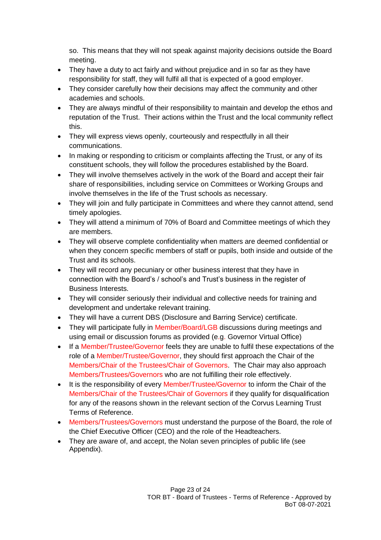so. This means that they will not speak against majority decisions outside the Board meeting.

- They have a duty to act fairly and without prejudice and in so far as they have responsibility for staff, they will fulfil all that is expected of a good employer.
- They consider carefully how their decisions may affect the community and other academies and schools.
- They are always mindful of their responsibility to maintain and develop the ethos and reputation of the Trust. Their actions within the Trust and the local community reflect this.
- They will express views openly, courteously and respectfully in all their communications.
- In making or responding to criticism or complaints affecting the Trust, or any of its constituent schools, they will follow the procedures established by the Board.
- They will involve themselves actively in the work of the Board and accept their fair share of responsibilities, including service on Committees or Working Groups and involve themselves in the life of the Trust schools as necessary.
- They will join and fully participate in Committees and where they cannot attend, send timely apologies.
- They will attend a minimum of 70% of Board and Committee meetings of which they are members.
- They will observe complete confidentiality when matters are deemed confidential or when they concern specific members of staff or pupils, both inside and outside of the Trust and its schools.
- They will record any pecuniary or other business interest that they have in connection with the Board's / school's and Trust's business in the register of Business Interests.
- They will consider seriously their individual and collective needs for training and development and undertake relevant training.
- They will have a current DBS (Disclosure and Barring Service) certificate.
- They will participate fully in Member/Board/LGB discussions during meetings and using email or discussion forums as provided (e.g. Governor Virtual Office)
- If a Member/Trustee/Governor feels they are unable to fulfil these expectations of the role of a Member/Trustee/Governor, they should first approach the Chair of the Members/Chair of the Trustees/Chair of Governors. The Chair may also approach Members/Trustees/Governors who are not fulfilling their role effectively.
- It is the responsibility of every Member/Trustee/Governor to inform the Chair of the Members/Chair of the Trustees/Chair of Governors if they qualify for disqualification for any of the reasons shown in the relevant section of the Corvus Learning Trust Terms of Reference.
- Members/Trustees/Governors must understand the purpose of the Board, the role of the Chief Executive Officer (CEO) and the role of the Headteachers.
- They are aware of, and accept, the Nolan seven principles of public life (see Appendix).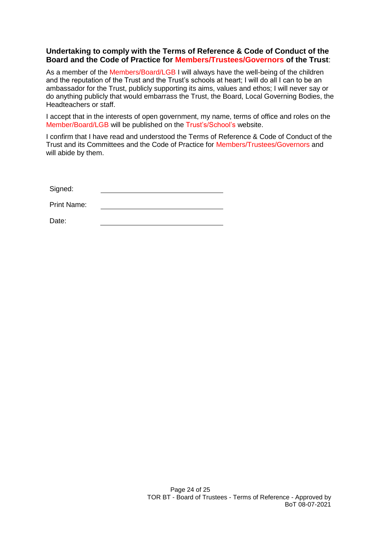#### **Undertaking to comply with the Terms of Reference & Code of Conduct of the Board and the Code of Practice for Members/Trustees/Governors of the Trust**:

As a member of the Members/Board/LGB I will always have the well-being of the children and the reputation of the Trust and the Trust's schools at heart; I will do all I can to be an ambassador for the Trust, publicly supporting its aims, values and ethos; I will never say or do anything publicly that would embarrass the Trust, the Board, Local Governing Bodies, the Headteachers or staff.

I accept that in the interests of open government, my name, terms of office and roles on the Member/Board/LGB will be published on the Trust's/School's website.

I confirm that I have read and understood the Terms of Reference & Code of Conduct of the Trust and its Committees and the Code of Practice for Members/Trustees/Governors and will abide by them.

Signed:

Print Name:

Date: